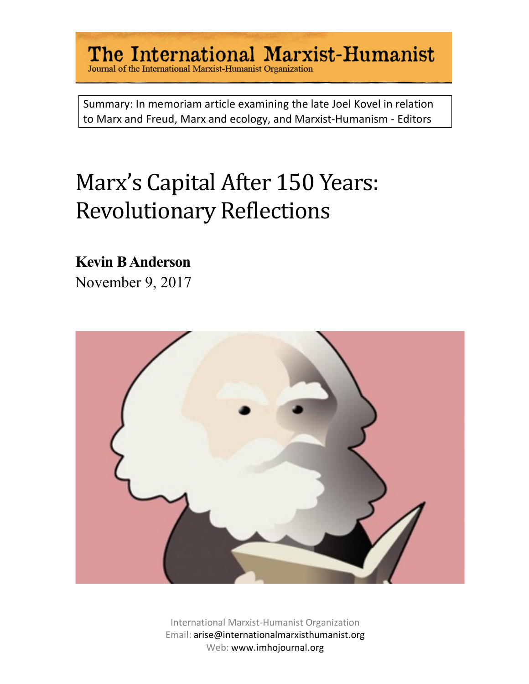# The International Marxist-Humanist<br>Journal of the International Marxist-Humanist Organization

Summary: In memoriam article examining the late Joel Kovel in relation to Marx and Freud, Marx and ecology, and Marxist-Humanism - Editors

# Marx's Capital After 150 Years: Revolutionary Reflections

#### **Kevin B Anderson**

November 9, 2017



International Marxist-Humanist Organization Email: arise@internationalmarxisthumanist.org Web: www.imhojournal.org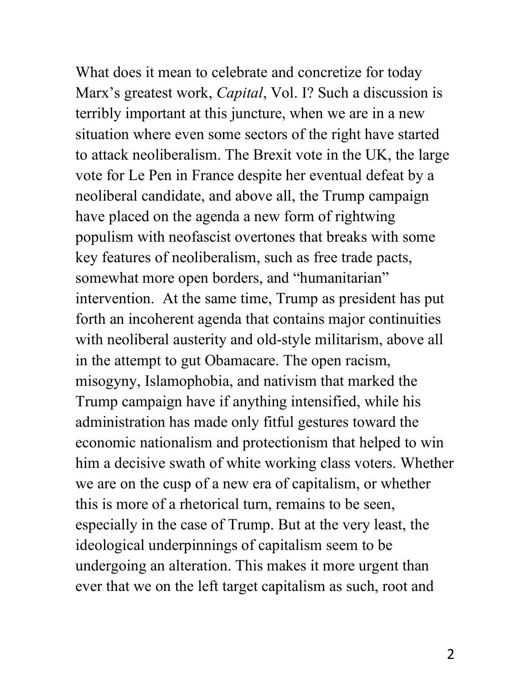What does it mean to celebrate and concretize for today Marx's greatest work, *Capital*, Vol. I? Such a discussion is terribly important at this juncture, when we are in a new situation where even some sectors of the right have started to attack neoliberalism. The Brexit vote in the UK, the large vote for Le Pen in France despite her eventual defeat by a neoliberal candidate, and above all, the Trump campaign have placed on the agenda a new form of rightwing populism with neofascist overtones that breaks with some key features of neoliberalism, such as free trade pacts, somewhat more open borders, and "humanitarian" intervention. At the same time, Trump as president has put forth an incoherent agenda that contains major continuities with neoliberal austerity and old-style militarism, above all in the attempt to gut Obamacare. The open racism, misogyny, Islamophobia, and nativism that marked the Trump campaign have if anything intensified, while his administration has made only fitful gestures toward the economic nationalism and protectionism that helped to win him a decisive swath of white working class voters. Whether we are on the cusp of a new era of capitalism, or whether this is more of a rhetorical turn, remains to be seen, especially in the case of Trump. But at the very least, the ideological underpinnings of capitalism seem to be undergoing an alteration. This makes it more urgent than ever that we on the left target capitalism as such, root and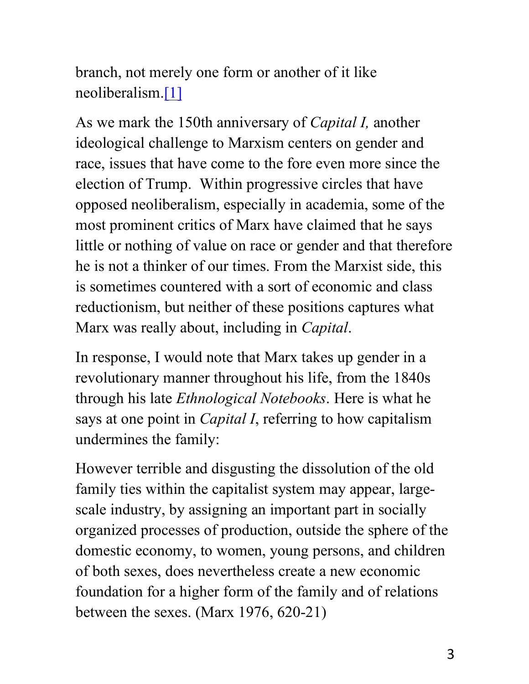branch, not merely one form or another of it like neoliberalism.[1]

As we mark the 150th anniversary of *Capital I,* another ideological challenge to Marxism centers on gender and race, issues that have come to the fore even more since the election of Trump. Within progressive circles that have opposed neoliberalism, especially in academia, some of the most prominent critics of Marx have claimed that he says little or nothing of value on race or gender and that therefore he is not a thinker of our times. From the Marxist side, this is sometimes countered with a sort of economic and class reductionism, but neither of these positions captures what Marx was really about, including in *Capital*.

In response, I would note that Marx takes up gender in a revolutionary manner throughout his life, from the 1840s through his late *Ethnological Notebooks*. Here is what he says at one point in *Capital I*, referring to how capitalism undermines the family:

However terrible and disgusting the dissolution of the old family ties within the capitalist system may appear, largescale industry, by assigning an important part in socially organized processes of production, outside the sphere of the domestic economy, to women, young persons, and children of both sexes, does nevertheless create a new economic foundation for a higher form of the family and of relations between the sexes. (Marx 1976, 620-21)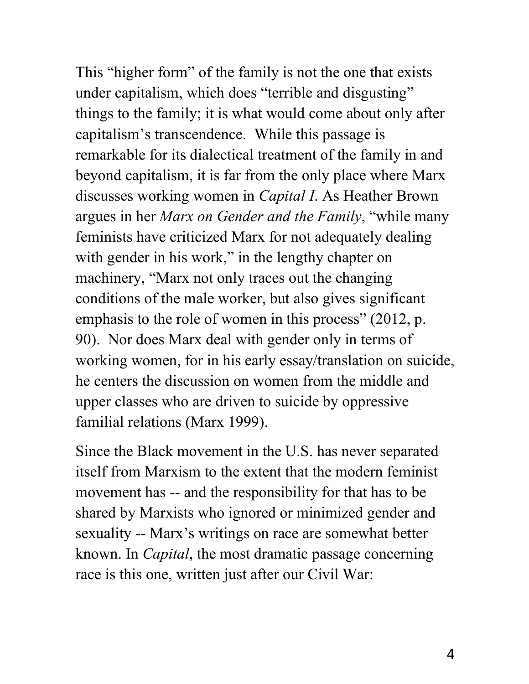This "higher form" of the family is not the one that exists under capitalism, which does "terrible and disgusting" things to the family; it is what would come about only after capitalism's transcendence. While this passage is remarkable for its dialectical treatment of the family in and beyond capitalism, it is far from the only place where Marx discusses working women in *Capital I*. As Heather Brown argues in her *Marx on Gender and the Family*, "while many feminists have criticized Marx for not adequately dealing with gender in his work," in the lengthy chapter on machinery, "Marx not only traces out the changing conditions of the male worker, but also gives significant emphasis to the role of women in this process" (2012, p. 90). Nor does Marx deal with gender only in terms of working women, for in his early essay/translation on suicide, he centers the discussion on women from the middle and upper classes who are driven to suicide by oppressive familial relations (Marx 1999).

Since the Black movement in the U.S. has never separated itself from Marxism to the extent that the modern feminist movement has -- and the responsibility for that has to be shared by Marxists who ignored or minimized gender and sexuality -- Marx's writings on race are somewhat better known. In *Capital*, the most dramatic passage concerning race is this one, written just after our Civil War: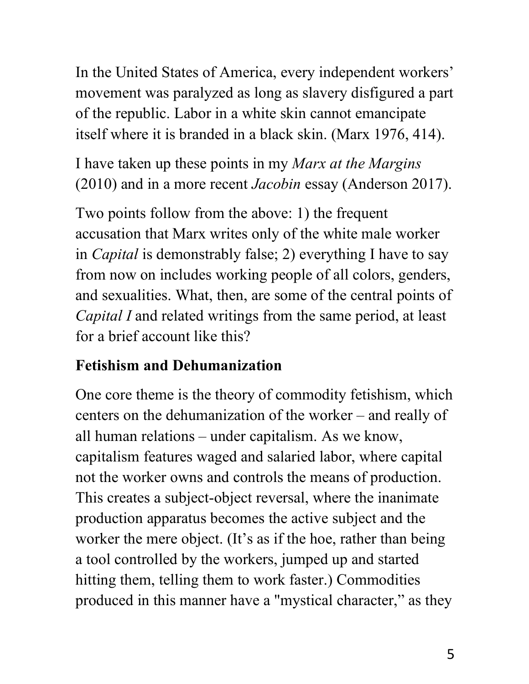In the United States of America, every independent workers' movement was paralyzed as long as slavery disfigured a part of the republic. Labor in a white skin cannot emancipate itself where it is branded in a black skin. (Marx 1976, 414).

I have taken up these points in my *Marx at the Margins* (2010) and in a more recent *Jacobin* essay (Anderson 2017).

Two points follow from the above: 1) the frequent accusation that Marx writes only of the white male worker in *Capital* is demonstrably false; 2) everything I have to say from now on includes working people of all colors, genders, and sexualities. What, then, are some of the central points of *Capital I* and related writings from the same period, at least for a brief account like this?

#### **Fetishism and Dehumanization**

One core theme is the theory of commodity fetishism, which centers on the dehumanization of the worker – and really of all human relations – under capitalism. As we know, capitalism features waged and salaried labor, where capital not the worker owns and controls the means of production. This creates a subject-object reversal, where the inanimate production apparatus becomes the active subject and the worker the mere object. (It's as if the hoe, rather than being a tool controlled by the workers, jumped up and started hitting them, telling them to work faster.) Commodities produced in this manner have a "mystical character," as they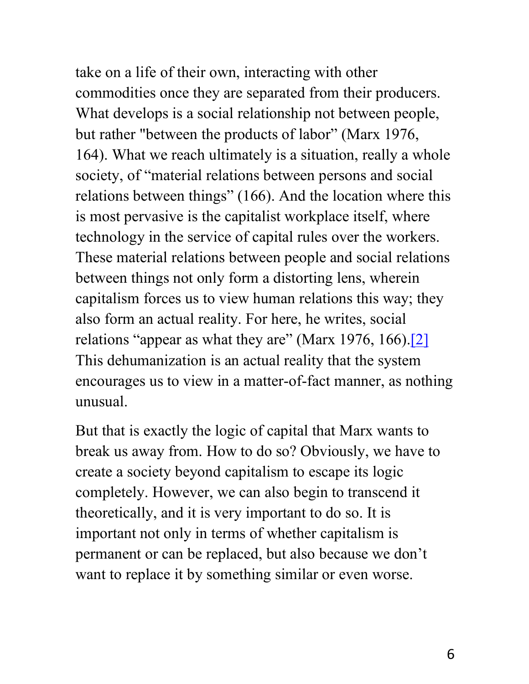take on a life of their own, interacting with other commodities once they are separated from their producers. What develops is a social relationship not between people, but rather "between the products of labor" (Marx 1976, 164). What we reach ultimately is a situation, really a whole society, of "material relations between persons and social relations between things" (166). And the location where this is most pervasive is the capitalist workplace itself, where technology in the service of capital rules over the workers. These material relations between people and social relations between things not only form a distorting lens, wherein capitalism forces us to view human relations this way; they also form an actual reality. For here, he writes, social relations "appear as what they are" (Marx 1976, 166).<sup>[2]</sup> This dehumanization is an actual reality that the system encourages us to view in a matter-of-fact manner, as nothing unusual.

But that is exactly the logic of capital that Marx wants to break us away from. How to do so? Obviously, we have to create a society beyond capitalism to escape its logic completely. However, we can also begin to transcend it theoretically, and it is very important to do so. It is important not only in terms of whether capitalism is permanent or can be replaced, but also because we don't want to replace it by something similar or even worse.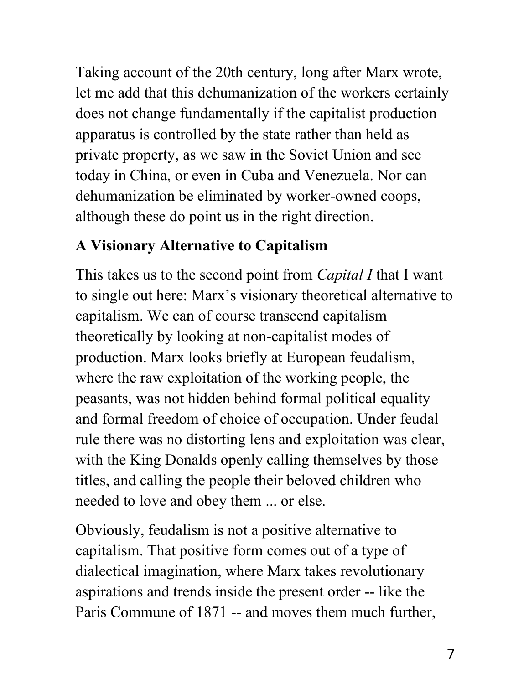Taking account of the 20th century, long after Marx wrote, let me add that this dehumanization of the workers certainly does not change fundamentally if the capitalist production apparatus is controlled by the state rather than held as private property, as we saw in the Soviet Union and see today in China, or even in Cuba and Venezuela. Nor can dehumanization be eliminated by worker-owned coops, although these do point us in the right direction.

#### **A Visionary Alternative to Capitalism**

This takes us to the second point from *Capital I* that I want to single out here: Marx's visionary theoretical alternative to capitalism. We can of course transcend capitalism theoretically by looking at non-capitalist modes of production. Marx looks briefly at European feudalism, where the raw exploitation of the working people, the peasants, was not hidden behind formal political equality and formal freedom of choice of occupation. Under feudal rule there was no distorting lens and exploitation was clear, with the King Donalds openly calling themselves by those titles, and calling the people their beloved children who needed to love and obey them ... or else.

Obviously, feudalism is not a positive alternative to capitalism. That positive form comes out of a type of dialectical imagination, where Marx takes revolutionary aspirations and trends inside the present order -- like the Paris Commune of 1871 -- and moves them much further,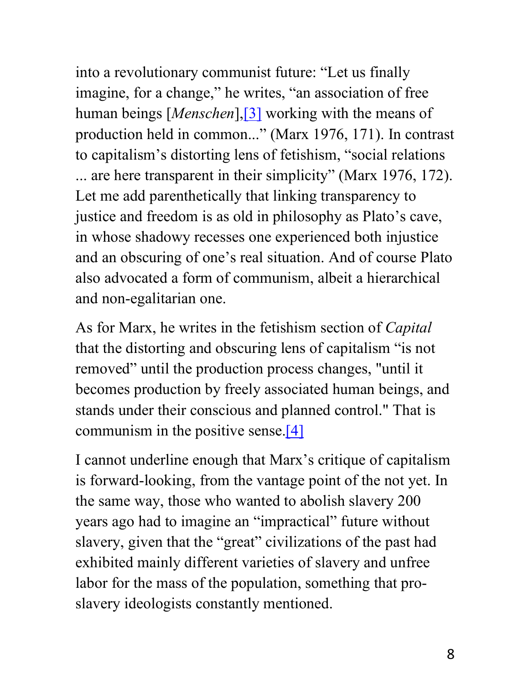into a revolutionary communist future: "Let us finally imagine, for a change," he writes, "an association of free human beings [*Menschen*],[3] working with the means of production held in common..." (Marx 1976, 171). In contrast to capitalism's distorting lens of fetishism, "social relations ... are here transparent in their simplicity" (Marx 1976, 172). Let me add parenthetically that linking transparency to justice and freedom is as old in philosophy as Plato's cave, in whose shadowy recesses one experienced both injustice and an obscuring of one's real situation. And of course Plato also advocated a form of communism, albeit a hierarchical and non-egalitarian one.

As for Marx, he writes in the fetishism section of *Capital* that the distorting and obscuring lens of capitalism "is not removed" until the production process changes, "until it becomes production by freely associated human beings, and stands under their conscious and planned control." That is communism in the positive sense.[4]

I cannot underline enough that Marx's critique of capitalism is forward-looking, from the vantage point of the not yet. In the same way, those who wanted to abolish slavery 200 years ago had to imagine an "impractical" future without slavery, given that the "great" civilizations of the past had exhibited mainly different varieties of slavery and unfree labor for the mass of the population, something that proslavery ideologists constantly mentioned.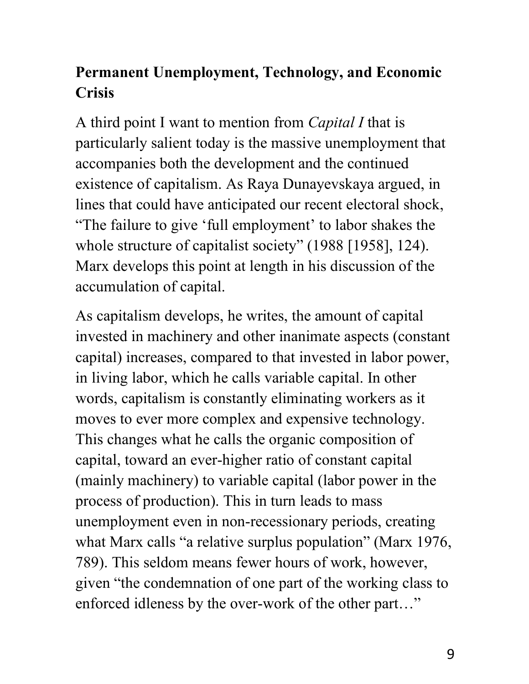### **Permanent Unemployment, Technology, and Economic Crisis**

A third point I want to mention from *Capital I* that is particularly salient today is the massive unemployment that accompanies both the development and the continued existence of capitalism. As Raya Dunayevskaya argued, in lines that could have anticipated our recent electoral shock, "The failure to give 'full employment' to labor shakes the whole structure of capitalist society" (1988 [1958], 124). Marx develops this point at length in his discussion of the accumulation of capital.

As capitalism develops, he writes, the amount of capital invested in machinery and other inanimate aspects (constant capital) increases, compared to that invested in labor power, in living labor, which he calls variable capital. In other words, capitalism is constantly eliminating workers as it moves to ever more complex and expensive technology. This changes what he calls the organic composition of capital, toward an ever-higher ratio of constant capital (mainly machinery) to variable capital (labor power in the process of production). This in turn leads to mass unemployment even in non-recessionary periods, creating what Marx calls "a relative surplus population" (Marx 1976, 789). This seldom means fewer hours of work, however, given "the condemnation of one part of the working class to enforced idleness by the over-work of the other part…"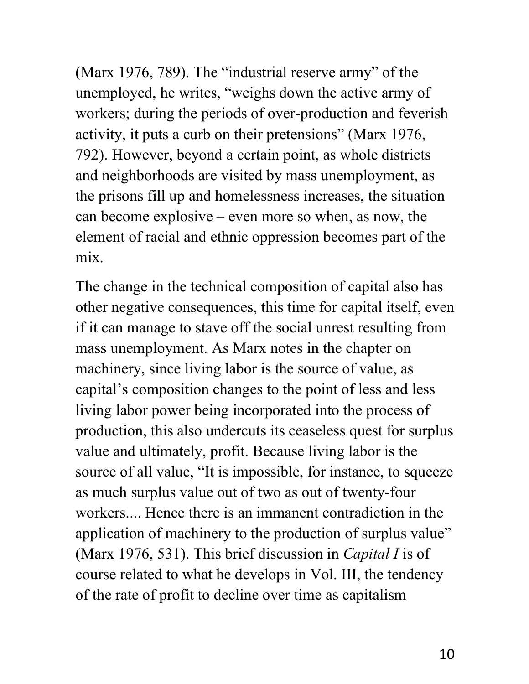(Marx 1976, 789). The "industrial reserve army" of the unemployed, he writes, "weighs down the active army of workers; during the periods of over-production and feverish activity, it puts a curb on their pretensions" (Marx 1976, 792). However, beyond a certain point, as whole districts and neighborhoods are visited by mass unemployment, as the prisons fill up and homelessness increases, the situation can become explosive – even more so when, as now, the element of racial and ethnic oppression becomes part of the mix.

The change in the technical composition of capital also has other negative consequences, this time for capital itself, even if it can manage to stave off the social unrest resulting from mass unemployment. As Marx notes in the chapter on machinery, since living labor is the source of value, as capital's composition changes to the point of less and less living labor power being incorporated into the process of production, this also undercuts its ceaseless quest for surplus value and ultimately, profit. Because living labor is the source of all value, "It is impossible, for instance, to squeeze as much surplus value out of two as out of twenty-four workers.... Hence there is an immanent contradiction in the application of machinery to the production of surplus value" (Marx 1976, 531). This brief discussion in *Capital I* is of course related to what he develops in Vol. III, the tendency of the rate of profit to decline over time as capitalism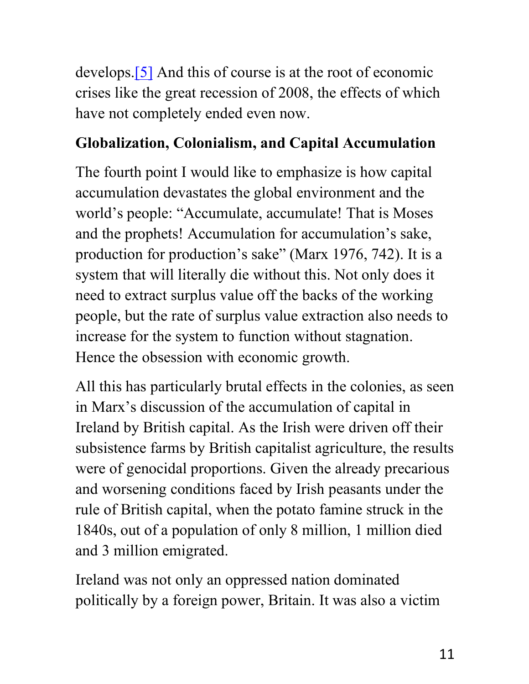develops.[5] And this of course is at the root of economic crises like the great recession of 2008, the effects of which have not completely ended even now.

#### **Globalization, Colonialism, and Capital Accumulation**

The fourth point I would like to emphasize is how capital accumulation devastates the global environment and the world's people: "Accumulate, accumulate! That is Moses and the prophets! Accumulation for accumulation's sake, production for production's sake" (Marx 1976, 742). It is a system that will literally die without this. Not only does it need to extract surplus value off the backs of the working people, but the rate of surplus value extraction also needs to increase for the system to function without stagnation. Hence the obsession with economic growth.

All this has particularly brutal effects in the colonies, as seen in Marx's discussion of the accumulation of capital in Ireland by British capital. As the Irish were driven off their subsistence farms by British capitalist agriculture, the results were of genocidal proportions. Given the already precarious and worsening conditions faced by Irish peasants under the rule of British capital, when the potato famine struck in the 1840s, out of a population of only 8 million, 1 million died and 3 million emigrated.

Ireland was not only an oppressed nation dominated politically by a foreign power, Britain. It was also a victim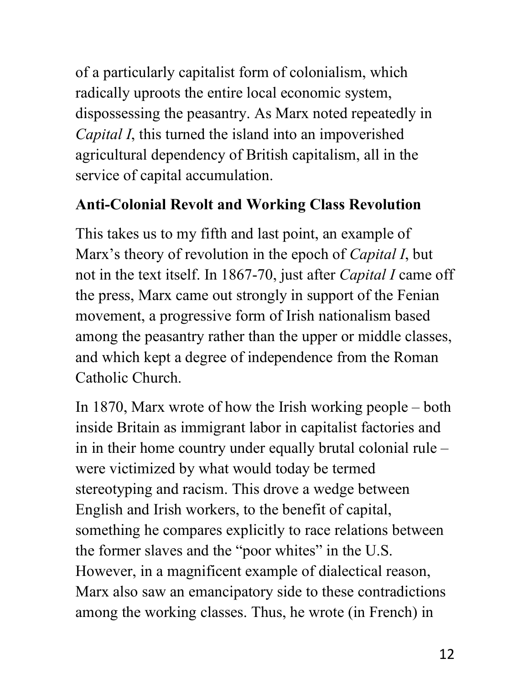of a particularly capitalist form of colonialism, which radically uproots the entire local economic system, dispossessing the peasantry. As Marx noted repeatedly in *Capital I*, this turned the island into an impoverished agricultural dependency of British capitalism, all in the service of capital accumulation.

#### **Anti-Colonial Revolt and Working Class Revolution**

This takes us to my fifth and last point, an example of Marx's theory of revolution in the epoch of *Capital I*, but not in the text itself. In 1867-70, just after *Capital I* came off the press, Marx came out strongly in support of the Fenian movement, a progressive form of Irish nationalism based among the peasantry rather than the upper or middle classes, and which kept a degree of independence from the Roman Catholic Church.

In 1870, Marx wrote of how the Irish working people – both inside Britain as immigrant labor in capitalist factories and in in their home country under equally brutal colonial rule – were victimized by what would today be termed stereotyping and racism. This drove a wedge between English and Irish workers, to the benefit of capital, something he compares explicitly to race relations between the former slaves and the "poor whites" in the U.S. However, in a magnificent example of dialectical reason, Marx also saw an emancipatory side to these contradictions among the working classes. Thus, he wrote (in French) in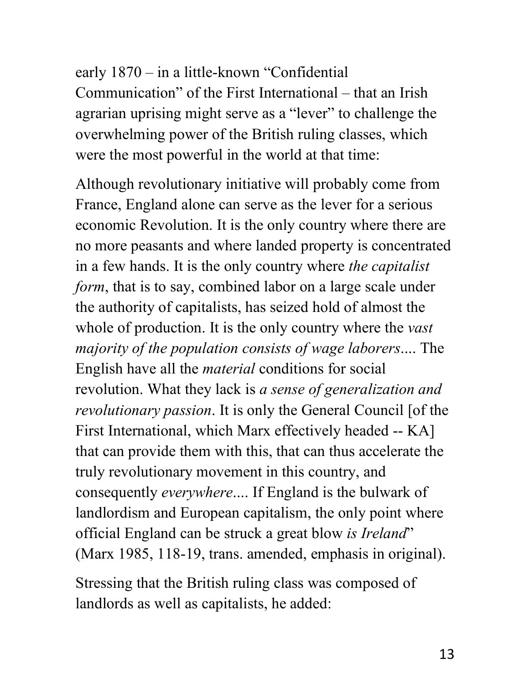early 1870 – in a little-known "Confidential Communication" of the First International – that an Irish agrarian uprising might serve as a "lever" to challenge the overwhelming power of the British ruling classes, which were the most powerful in the world at that time:

Although revolutionary initiative will probably come from France, England alone can serve as the lever for a serious economic Revolution. It is the only country where there are no more peasants and where landed property is concentrated in a few hands. It is the only country where *the capitalist form*, that is to say, combined labor on a large scale under the authority of capitalists, has seized hold of almost the whole of production. It is the only country where the *vast majority of the population consists of wage laborers*.... The English have all the *material* conditions for social revolution. What they lack is *a sense of generalization and revolutionary passion*. It is only the General Council [of the First International, which Marx effectively headed -- KA] that can provide them with this, that can thus accelerate the truly revolutionary movement in this country, and consequently *everywhere*.... If England is the bulwark of landlordism and European capitalism, the only point where official England can be struck a great blow *is Ireland*" (Marx 1985, 118-19, trans. amended, emphasis in original).

Stressing that the British ruling class was composed of landlords as well as capitalists, he added: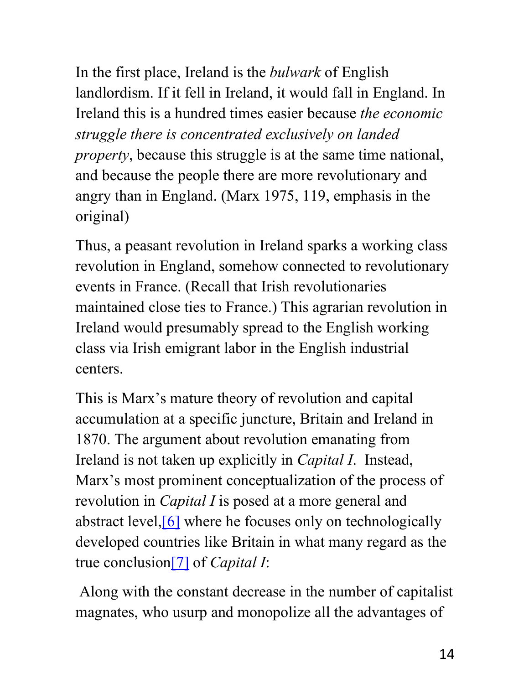In the first place, Ireland is the *bulwark* of English landlordism. If it fell in Ireland, it would fall in England. In Ireland this is a hundred times easier because *the economic struggle there is concentrated exclusively on landed property*, because this struggle is at the same time national, and because the people there are more revolutionary and angry than in England. (Marx 1975, 119, emphasis in the original)

Thus, a peasant revolution in Ireland sparks a working class revolution in England, somehow connected to revolutionary events in France. (Recall that Irish revolutionaries maintained close ties to France.) This agrarian revolution in Ireland would presumably spread to the English working class via Irish emigrant labor in the English industrial centers.

This is Marx's mature theory of revolution and capital accumulation at a specific juncture, Britain and Ireland in 1870. The argument about revolution emanating from Ireland is not taken up explicitly in *Capital I*. Instead, Marx's most prominent conceptualization of the process of revolution in *Capital I* is posed at a more general and abstract level,[6] where he focuses only on technologically developed countries like Britain in what many regard as the true conclusion[7] of *Capital I*:

Along with the constant decrease in the number of capitalist magnates, who usurp and monopolize all the advantages of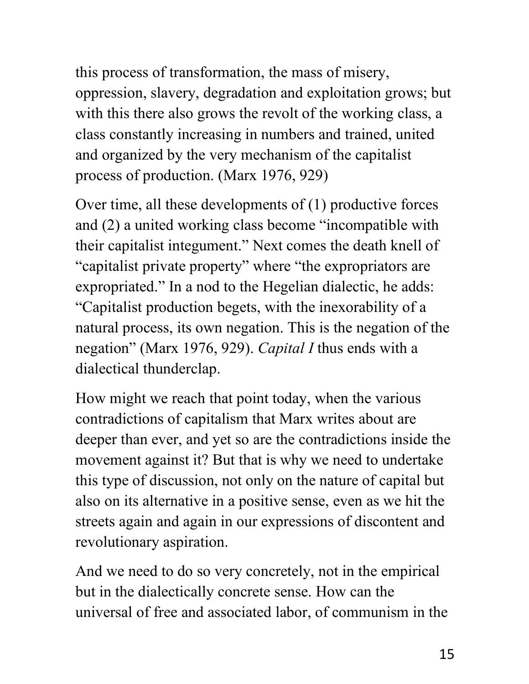this process of transformation, the mass of misery, oppression, slavery, degradation and exploitation grows; but with this there also grows the revolt of the working class, a class constantly increasing in numbers and trained, united and organized by the very mechanism of the capitalist process of production. (Marx 1976, 929)

Over time, all these developments of (1) productive forces and (2) a united working class become "incompatible with their capitalist integument." Next comes the death knell of "capitalist private property" where "the expropriators are expropriated." In a nod to the Hegelian dialectic, he adds: "Capitalist production begets, with the inexorability of a natural process, its own negation. This is the negation of the negation" (Marx 1976, 929). *Capital I* thus ends with a dialectical thunderclap.

How might we reach that point today, when the various contradictions of capitalism that Marx writes about are deeper than ever, and yet so are the contradictions inside the movement against it? But that is why we need to undertake this type of discussion, not only on the nature of capital but also on its alternative in a positive sense, even as we hit the streets again and again in our expressions of discontent and revolutionary aspiration.

And we need to do so very concretely, not in the empirical but in the dialectically concrete sense. How can the universal of free and associated labor, of communism in the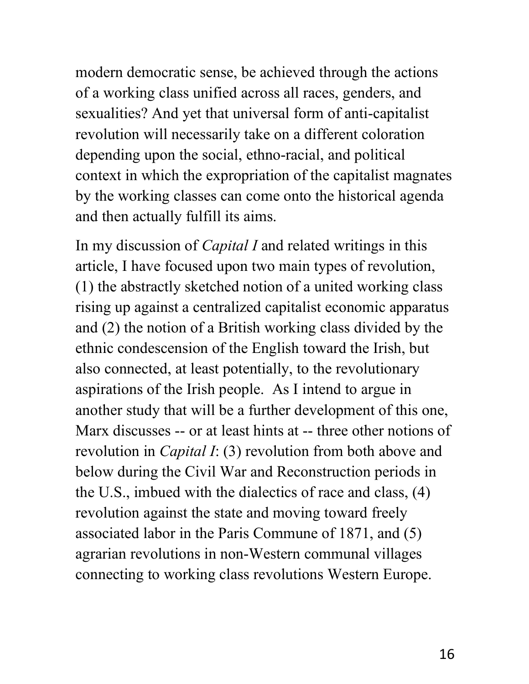modern democratic sense, be achieved through the actions of a working class unified across all races, genders, and sexualities? And yet that universal form of anti-capitalist revolution will necessarily take on a different coloration depending upon the social, ethno-racial, and political context in which the expropriation of the capitalist magnates by the working classes can come onto the historical agenda and then actually fulfill its aims.

In my discussion of *Capital I* and related writings in this article, I have focused upon two main types of revolution, (1) the abstractly sketched notion of a united working class rising up against a centralized capitalist economic apparatus and (2) the notion of a British working class divided by the ethnic condescension of the English toward the Irish, but also connected, at least potentially, to the revolutionary aspirations of the Irish people. As I intend to argue in another study that will be a further development of this one, Marx discusses -- or at least hints at -- three other notions of revolution in *Capital I*: (3) revolution from both above and below during the Civil War and Reconstruction periods in the U.S., imbued with the dialectics of race and class, (4) revolution against the state and moving toward freely associated labor in the Paris Commune of 1871, and (5) agrarian revolutions in non-Western communal villages connecting to working class revolutions Western Europe.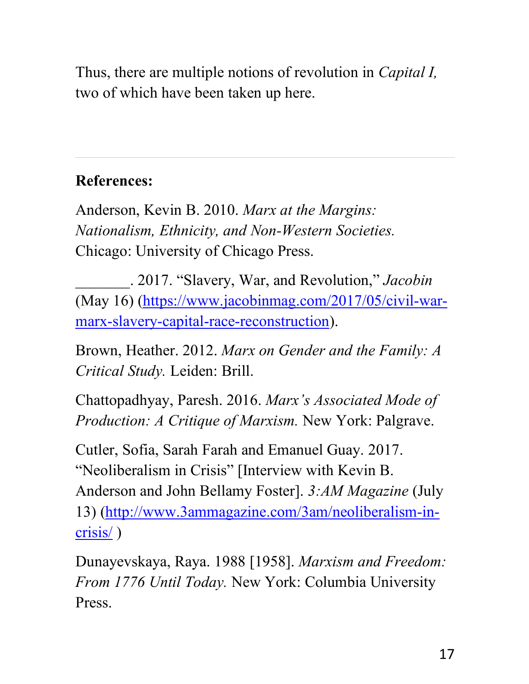Thus, there are multiple notions of revolution in *Capital I,*  two of which have been taken up here.

## **References:**

Anderson, Kevin B. 2010. *Marx at the Margins: Nationalism, Ethnicity, and Non-Western Societies.* Chicago: University of Chicago Press.

\_\_\_\_\_\_\_. 2017. "Slavery, War, and Revolution," *Jacobin* (May 16) (https://www.jacobinmag.com/2017/05/civil-warmarx-slavery-capital-race-reconstruction).

Brown, Heather. 2012. *Marx on Gender and the Family: A Critical Study.* Leiden: Brill.

Chattopadhyay, Paresh. 2016. *Marx's Associated Mode of Production: A Critique of Marxism.* New York: Palgrave.

Cutler, Sofia, Sarah Farah and Emanuel Guay. 2017. "Neoliberalism in Crisis" [Interview with Kevin B. Anderson and John Bellamy Foster]. *3:AM Magazine* (July 13) (http://www.3ammagazine.com/3am/neoliberalism-incrisis/ )

Dunayevskaya, Raya. 1988 [1958]. *Marxism and Freedom: From 1776 Until Today.* New York: Columbia University Press.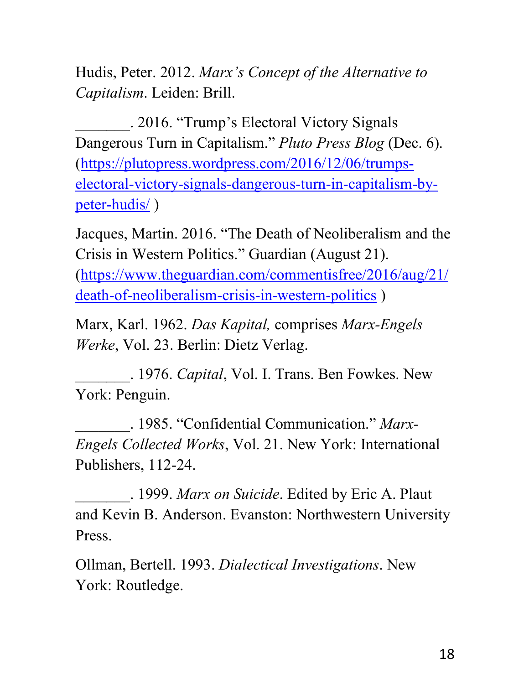Hudis, Peter. 2012. *Marx's Concept of the Alternative to Capitalism*. Leiden: Brill.

\_\_\_\_\_\_\_. 2016. "Trump's Electoral Victory Signals Dangerous Turn in Capitalism." *Pluto Press Blog* (Dec. 6). (https://plutopress.wordpress.com/2016/12/06/trumpselectoral-victory-signals-dangerous-turn-in-capitalism-bypeter-hudis/ )

Jacques, Martin. 2016. "The Death of Neoliberalism and the Crisis in Western Politics." Guardian (August 21). (https://www.theguardian.com/commentisfree/2016/aug/21/ death-of-neoliberalism-crisis-in-western-politics )

Marx, Karl. 1962. *Das Kapital,* comprises *Marx-Engels Werke*, Vol. 23. Berlin: Dietz Verlag.

\_\_\_\_\_\_\_. 1976. *Capital*, Vol. I. Trans. Ben Fowkes. New York: Penguin.

\_\_\_\_\_\_\_. 1985. "Confidential Communication." *Marx-Engels Collected Works*, Vol. 21. New York: International Publishers, 112-24.

\_\_\_\_\_\_\_. 1999. *Marx on Suicide*. Edited by Eric A. Plaut and Kevin B. Anderson. Evanston: Northwestern University Press.

Ollman, Bertell. 1993. *Dialectical Investigations*. New York: Routledge.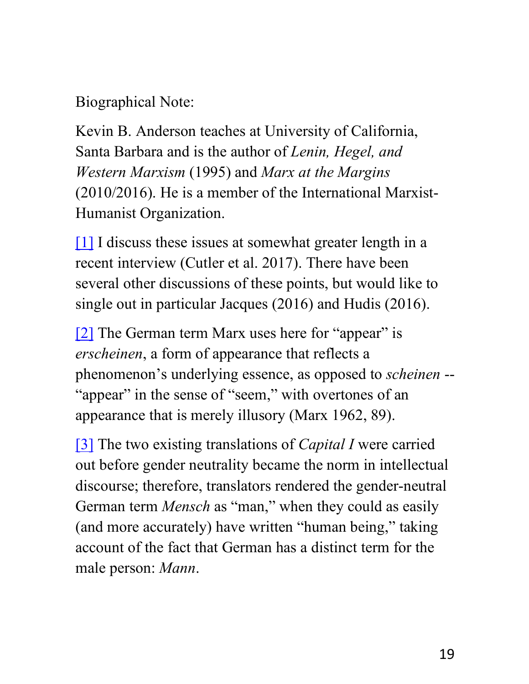Biographical Note:

Kevin B. Anderson teaches at University of California, Santa Barbara and is the author of *Lenin, Hegel, and Western Marxism* (1995) and *Marx at the Margins*  (2010/2016). He is a member of the International Marxist-Humanist Organization.

[1] I discuss these issues at somewhat greater length in a recent interview (Cutler et al. 2017). There have been several other discussions of these points, but would like to single out in particular Jacques (2016) and Hudis (2016).

[2] The German term Marx uses here for "appear" is *erscheinen*, a form of appearance that reflects a phenomenon's underlying essence, as opposed to *scheinen* -- "appear" in the sense of "seem," with overtones of an appearance that is merely illusory (Marx 1962, 89).

[3] The two existing translations of *Capital I* were carried out before gender neutrality became the norm in intellectual discourse; therefore, translators rendered the gender-neutral German term *Mensch* as "man," when they could as easily (and more accurately) have written "human being," taking account of the fact that German has a distinct term for the male person: *Mann*.